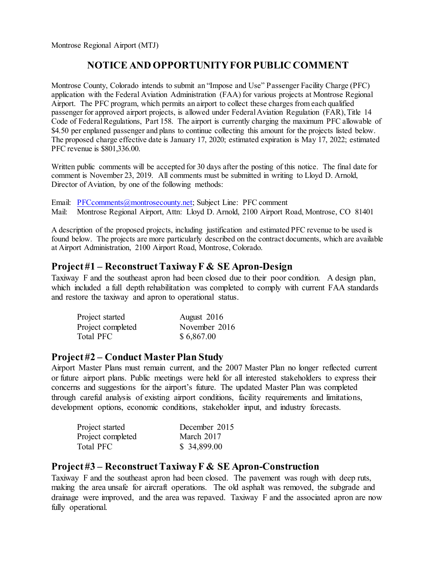Montrose Regional Airport (MTJ)

# **NOTICE AND OPPORTUNITY FOR PUBLIC COMMENT**

Montrose County, Colorado intends to submit an "Impose and Use" Passenger Facility Charge (PFC) application with the Federal Aviation Administration (FAA) for various projects at Montrose Regional Airport. The PFC program, which permits an airport to collect these charges from each qualified passenger for approved airport projects, is allowed under Federal Aviation Regulation (FAR), Title 14 Code of Federal Regulations, Part 158. The airport is currently charging the maximum PFC allowable of \$4.50 per enplaned passenger and plans to continue collecting this amount for the projects listed below. The proposed charge effective date is January 17, 2020; estimated expiration is May 17, 2022; estimated PFC revenue is \$801,336.00.

Written public comments will be accepted for 30 days after the posting of this notice. The final date for comment is November 23, 2019. All comments must be submitted in writing to Lloyd D. Arnold, Director of Aviation, by one of the following methods:

Email: [PFCcomments@montrosecounty.net;](mailto:PFCcomments@montrosecounty.net) Subject Line: PFC comment Mail: Montrose Regional Airport, Attn: Lloyd D. Arnold, 2100 Airport Road, Montrose, CO 81401

A description of the proposed projects, including justification and estimated PFC revenue to be used is found below. The projects are more particularly described on the contract documents, which are available at Airport Administration, 2100 Airport Road, Montrose, Colorado.

### **Project #1 – Reconstruct Taxiway F & SE Apron-Design**

Taxiway F and the southeast apron had been closed due to their poor condition. A design plan, which included a full depth rehabilitation was completed to comply with current FAA standards and restore the taxiway and apron to operational status.

| Project started   | August 2016   |
|-------------------|---------------|
| Project completed | November 2016 |
| Total PFC         | \$6,867.00    |

#### **Project #2 – Conduct Master Plan Study**

Airport Master Plans must remain current, and the 2007 Master Plan no longer reflected current or future airport plans. Public meetings were held for all interested stakeholders to express their concerns and suggestions for the airport's future. The updated Master Plan was completed through careful analysis of existing airport conditions, facility requirements and limitations, development options, economic conditions, stakeholder input, and industry forecasts.

| Project started   | December 2015 |
|-------------------|---------------|
| Project completed | March 2017    |
| Total PFC         | \$34,899.00   |

# **Project #3 – Reconstruct Taxiway F & SE Apron-Construction**

Taxiway F and the southeast apron had been closed. The pavement was rough with deep ruts, making the area unsafe for aircraft operations. The old asphalt was removed, the subgrade and drainage were improved, and the area was repaved. Taxiway F and the associated apron are now fully operational.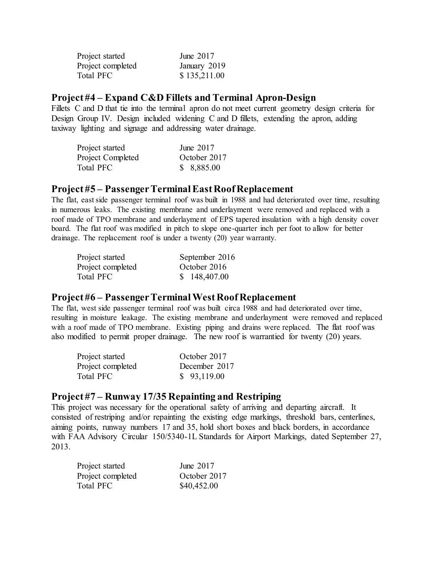| Project started   | June 2017    |
|-------------------|--------------|
| Project completed | January 2019 |
| Total PFC         | \$135,211.00 |

#### **Project #4 – Expand C&D Fillets and Terminal Apron-Design**

Fillets C and D that tie into the terminal apron do not meet current geometry design criteria for Design Group IV. Design included widening C and D fillets, extending the apron, adding taxiway lighting and signage and addressing water drainage.

| Project started   | June 2017    |
|-------------------|--------------|
| Project Completed | October 2017 |
| Total PFC         | \$8,885.00   |

#### **Project #5 – Passenger Terminal East Roof Replacement**

The flat, east side passenger terminal roof was built in 1988 and had deteriorated over time, resulting in numerous leaks. The existing membrane and underlayment were removed and replaced with a roof made of TPO membrane and underlayment of EPS tapered insulation with a high density cover board. The flat roof was modified in pitch to slope one-quarter inch per foot to allow for better drainage. The replacement roof is under a twenty (20) year warranty.

| Project started   | September 2016 |
|-------------------|----------------|
| Project completed | October 2016   |
| Total PFC         | \$148,407.00   |

## **Project #6 – Passenger Terminal WestRoof Replacement**

The flat, west side passenger terminal roof was built circa 1988 and had deteriorated over time, resulting in moisture leakage. The existing membrane and underlayment were removed and replaced with a roof made of TPO membrane. Existing piping and drains were replaced. The flat roof was also modified to permit proper drainage. The new roof is warrantied for twenty (20) years.

| Project started   | October 2017  |
|-------------------|---------------|
| Project completed | December 2017 |
| Total PFC         | \$93,119.00   |

## **Project #7 – Runway 17/35 Repainting and Restriping**

This project was necessary for the operational safety of arriving and departing aircraft. It consisted of restriping and/or repainting the existing edge markings, threshold bars, centerlines, aiming points, runway numbers 17 and 35, hold short boxes and black borders, in accordance with FAA Advisory Circular 150/5340-1L Standards for Airport Markings, dated September 27, 2013.

| Project started   | June 2017    |
|-------------------|--------------|
| Project completed | October 2017 |
| <b>Total PFC</b>  | \$40,452.00  |